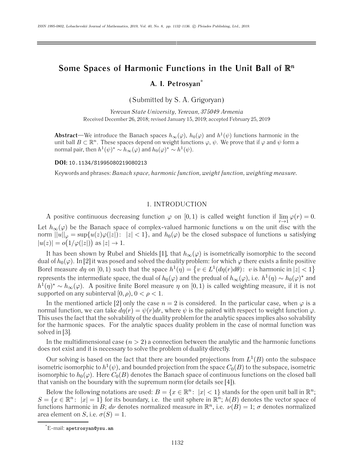# Some Spaces of Harmonic Functions in the Unit Ball of  $\mathbb{R}^n$ **A. I. Petrosyan\***

(Submitted by S. A. Grigoryan)

*Yerevan State University, Yerevan, 375049 Armenia* Received December 26, 2018; revised January 15, 2019; accepted February 25, 2019

**Abstract—We introduce the Banach spaces**  $h_{\infty}(\varphi)$ ,  $h_0(\varphi)$  and  $h^1(\psi)$  functions harmonic in the unit ball  $B \subset \mathbb{R}^n$ . These spaces depend on weight functions  $\varphi, \psi$ . We prove that if  $\varphi$  and  $\psi$  form a normal pair, then  $h^1(\psi)^* \sim h_{\infty}(\varphi)$  and  $h_0(\varphi)^* \sim h^1(\psi)$ .

**DOI:** 10.1134/S1995080219080213

Keywords and phrases: *Banach space, harmonic function, weight function, weighting measure.*

# 1. INTRODUCTION

A positive continuous decreasing function  $\varphi$  on [0,1) is called weight function if  $\lim_{r\to 1} \varphi(r) = 0$ . Let  $h_{\infty}(\varphi)$  be the Banach space of complex-valued harmonic functions u on the unit disc with the norm  $||u||_{\varphi} = \sup \{u(z)\varphi(|z|): |z| < 1\}$ , and  $h_0(\varphi)$  be the closed subspace of functions u satisfying  $|u(z)| = o(1/\varphi(|z|))$  as  $|z| \to 1$ .

It has been shown by Rubel and Shields [1], that  $h_{\infty}(\varphi)$  is isometrically isomorphic to the second dual of  $h_0(\varphi)$ . In [2] it was posed and solved the duality problem: for which  $\varphi$  there exists a finite positive Borel measure  $d\eta$  on  $[0,1)$  such that the space  $h^1(\eta) = \{v \in L^1(d\eta(r) d\theta) : v$  is harmonic in  $|z| < 1\}$ represents the intermediate space, the dual of  $h_0(\varphi)$  and the predual of  $h_\infty(\varphi)$ , i.e.  $h^1(\eta) \sim h_0(\varphi)^*$  and  $h^1(\eta)^* \sim h_\infty(\varphi)$ . A positive finite Borel measure  $\eta$  on [0, 1) is called weighting measure, if it is not supported on any subinterval  $[0, \rho)$ ,  $0 < \rho < 1$ .

In the mentioned article [2] only the case  $n = 2$  is considered. In the particular case, when  $\varphi$  is a normal function, we can take  $d\eta(r) = \psi(r)dr$ , where  $\psi$  is the paired with respect to weight function  $\varphi$ . This uses the fact that the solvability of the duality problem for the analytic spaces implies also solvability for the harmonic spaces. For the analytic spaces duality problem in the case of normal function was solved in [3].

In the multidimensional case  $(n > 2)$  a connection between the analytic and the harmonic functions does not exist and it is necessary to solve the problem of duality directly.

Our solving is based on the fact that there are bounded projections from  $L^1(B)$  onto the subspace isometric isomorphic to  $h^1(\psi)$ , and bounded projection from the space  $C_0(B)$  to the subspace, isometric isomorphic to  $h_0(\varphi)$ . Here  $C_0(B)$  denotes the Banach space of continuous functions on the closed ball that vanish on the boundary with the supremum norm (for details see [4]).

Below the following notations are used:  $B = \{x \in \mathbb{R}^n : |x| < 1\}$  stands for the open unit ball in  $\mathbb{R}^n$ ;  $S = \{x \in \mathbb{R}^n : |x| = 1\}$  for its boundary, i.e. the unit sphere in  $\mathbb{R}^n$ ;  $h(B)$  denotes the vector space of functions harmonic in B;  $d\nu$  denotes normalized measure in  $\mathbb{R}^n$ , i.e.  $\nu(B)=1$ ;  $\sigma$  denotes normalized area element on *S*, i.e.  $\sigma(S)=1$ .

<sup>\*</sup> E-mail: apetrosyan@ysu.am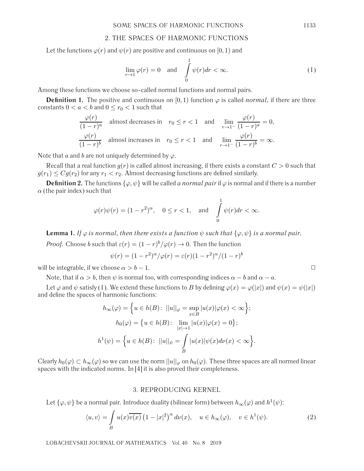## 2. THE SPACES OF HARMONIC FUNCTIONS

Let the functions  $\varphi(r)$  and  $\psi(r)$  are positive and continuous on [0, 1) and

$$
\lim_{r \to 1} \varphi(r) = 0 \quad \text{and} \quad \int_{0}^{1} \psi(r) dr < \infty. \tag{1}
$$

1

Among these functions we choose so-called normal functions and normal pairs.

**Definition 1.** The positive and continuous on [0, 1) function  $\varphi$  is called *normal*, if there are three constants  $0 < a < b$  and  $0 \le r_0 < 1$  such that

$$
\frac{\varphi(r)}{(1-r)^a} \quad \text{almost decreases in} \quad r_0 \le r < 1 \quad \text{and} \quad \lim_{r \to 1^-} \frac{\varphi(r)}{(1-r)^a} = 0,
$$
\n
$$
\frac{\varphi(r)}{(1-r)^b} \quad \text{almost increases in} \quad r_0 \le r < 1 \quad \text{and} \quad \lim_{r \to 1^-} \frac{\varphi(r)}{(1-r)^b} = \infty.
$$

Note that a and b are not uniquely determined by  $\varphi$ .

Recall that a real function  $g(r)$  is called almost increasing, if there exists a constant  $C > 0$  such that  $g(r_1) \leq Cg(r_2)$  for any  $r_1 < r_2$ . Almost decreasing functions are defined similarly.

**Definition 2.** The functions  $\{\varphi, \psi\}$  will be called *a normal pair* if  $\varphi$  is normal and if there is a number  $\alpha$  (the pair index) such that

$$
\varphi(r)\psi(r) = (1 - r^2)^{\alpha}, \quad 0 \le r < 1, \quad \text{and} \quad \int_{0}^{1} \psi(r)dr < \infty.
$$

**Lemma 1.** *If*  $\varphi$  *is normal, then there exists a function*  $\psi$  *such that*  $\{\varphi, \psi\}$  *is a normal pair.* 

*Proof.* Choose b such that  $\varepsilon(r) = (1 - r)^b / \varphi(r) \to 0$ . Then the function

$$
\psi(r) = (1 - r^2)^{\alpha}/\varphi(r) = \varepsilon(r)(1 - r^2)^{\alpha}/(1 - r)^b
$$

will be integrable, if we choose  $\alpha > b - 1$ .  $\Box$ 

Note, that if  $\alpha > b$ , then  $\psi$  is normal too, with corresponding indices  $\alpha - b$  and  $\alpha - a$ .

Let  $\varphi$  and  $\psi$  satisfy (1). We extend these functions to B by defining  $\varphi(x) = \varphi(|x|)$  and  $\psi(x) = \psi(|x|)$ and define the spaces of harmonic functions:

$$
h_{\infty}(\varphi) = \left\{ u \in h(B) \colon ||u||_{\varphi} = \sup_{x \in B} |u(x)|\varphi(x) < \infty \right\};
$$

$$
h_0(\varphi) = \left\{ u \in h(B) \colon \lim_{|x| \to 1} |u(x)|\varphi(x) = 0 \right\};
$$

$$
h^1(\psi) = \left\{ u \in h(B) \colon ||u||_{\psi} = \int_B |u(x)|\psi(x)d\nu(x) < \infty \right\}.
$$

Clearly  $h_0(\varphi) \subset h_\infty(\varphi)$  so we can use the norm  $||u||_\varphi$  on  $h_0(\varphi)$ . These three spaces are all normed linear spaces with the indicated norms. In [4] it is also proved their completeness.

## 3. REPRODUCING KERNEL

Let  $\{\varphi, \psi\}$  be a normal pair. Introduce duality (bilinear form) between  $h_{\infty}(\varphi)$  and  $h^1(\psi)$ :

$$
\langle u, v \rangle = \int_{B} u(x) \overline{v(x)} \left( 1 - |x|^2 \right)^{\alpha} d\nu(x), \quad u \in h_{\infty}(\varphi), \quad v \in h^1(\psi). \tag{2}
$$

LOBACHEVSKII JOURNAL OF MATHEMATICS Vol. 40 No. 8 2019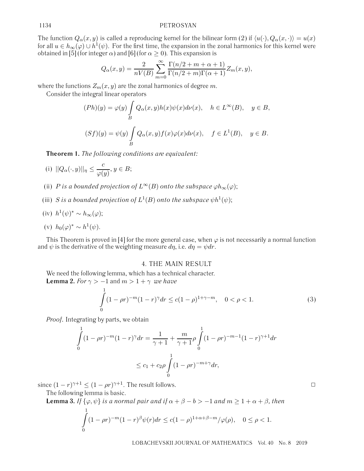### 1134 PETROSYAN

The function  $Q_{\alpha}(x, y)$  is called a reproducing kernel for the bilinear form (2) if  $\langle u(\cdot), Q_{\alpha}(x, \cdot) \rangle = u(x)$ for all  $u \in h_{\infty}(\varphi) \cup h^{1}(\psi)$ . For the first time, the expansion in the zonal harmonics for this kernel were obtained in [5] (for integer  $\alpha$ ) and [6] (for  $\alpha \ge 0$ ). This expansion is

$$
Q_{\alpha}(x,y) = \frac{2}{nV(B)} \sum_{m=0}^{\infty} \frac{\Gamma(n/2+m+\alpha+1)}{\Gamma(n/2+m)\Gamma(\alpha+1)} Z_m(x,y),
$$

where the functions  $Z_m(x, y)$  are the zonal harmonics of degree m.

Consider the integral linear operators

$$
(Ph)(y) = \varphi(y) \int_B Q_{\alpha}(x, y)h(x)\psi(x)d\nu(x), \quad h \in L^{\infty}(B), \quad y \in B,
$$
  

$$
(Sf)(y) = \psi(y) \int_B Q_{\alpha}(x, y)f(x)\varphi(x)d\nu(x), \quad f \in L^1(B), \quad y \in B.
$$

**Theorem 1.** *The following conditions are equivalent:*

(i) 
$$
||Q_{\alpha}(\cdot, y)||_{\eta} \le \frac{c}{\varphi(y)}, y \in B;
$$

- (ii) P is a bounded projection of  $L^{\infty}(B)$  onto the subspace  $\varphi h_{\infty}(\varphi)$ ;
- (iii) S is a bounded projection of  $L^1(B)$  onto the subspace  $\psi h^1(\psi)$ ;

(iv) 
$$
h^1(\psi)^* \sim h_{\infty}(\varphi);
$$

(v) 
$$
h_0(\varphi)^* \sim h^1(\psi)
$$
.

This Theorem is proved in [4] for the more general case, when  $\varphi$  is not necessarily a normal function and  $\psi$  is the derivative of the weighting measure  $d\eta$ , i.e.  $d\eta = \psi dr$ .

#### 4. THE MAIN RESULT

We need the following lemma, which has a technical character. **Lemma 2.** *For*  $\gamma$  >  $-1$  and  $m$  >  $1 + \gamma$  *we have* 

$$
\int_{0}^{1} (1 - \rho r)^{-m} (1 - r)^{\gamma} dr \le c (1 - \rho)^{1 + \gamma - m}, \quad 0 < \rho < 1.
$$
 (3)

*Proof.* Integrating by parts, we obtain

$$
\int_{0}^{1} (1 - \rho r)^{-m} (1 - r)^{\gamma} dr = \frac{1}{\gamma + 1} + \frac{m}{\gamma + 1} \rho \int_{0}^{1} (1 - \rho r)^{-m-1} (1 - r)^{\gamma + 1} dr
$$

$$
\leq c_1 + c_2 \rho \int_{0}^{1} (1 - \rho r)^{-m + \gamma} dr,
$$

since  $(1 - r)^{\gamma + 1} \le (1 - \rho r)^{\gamma + 1}$ . The result follows.

The following lemma is basic.

1

**Lemma 3.** *If*  $\{\varphi, \psi\}$  *is a normal pair and if*  $\alpha + \beta - b > -1$  *and*  $m \ge 1 + \alpha + \beta$ *, then* 

$$
\int_{0}^{1} (1 - \rho r)^{-m} (1 - r)^{\beta} \psi(r) dr \le c (1 - \rho)^{1 + \alpha + \beta - m} / \varphi(\rho), \quad 0 \le \rho < 1.
$$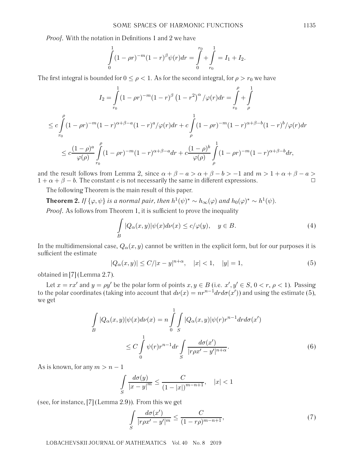*Proof.* With the notation in Definitions 1 and 2 we have

$$
\int_{0}^{1} (1 - \rho r)^{-m} (1 - r)^{\beta} \psi(r) dr = \int_{0}^{r_0} + \int_{r_0}^{1} = I_1 + I_2.
$$

The first integral is bounded for  $0 \leq \rho < 1$ . As for the second integral, for  $\rho > r_0$  we have

$$
I_2 = \int_{r_0}^1 (1 - \rho r)^{-m} (1 - r)^{\beta} (1 - r^2)^{\alpha} / \varphi(r) dr = \int_{r_0}^{\rho} + \int_{r_0}^1
$$
  

$$
\leq c \int_{r_0}^{\rho} (1 - \rho r)^{-m} (1 - r)^{\alpha + \beta - a} (1 - r)^{a} / \varphi(r) dr + c \int_{\rho}^1 (1 - \rho r)^{-m} (1 - r)^{\alpha + \beta - b} (1 - r)^{b} / \varphi(r) dr
$$
  

$$
\leq c \frac{(1 - \rho)^a}{\varphi(\rho)} \int_{r_0}^{\rho} (1 - \rho r)^{-m} (1 - r)^{\alpha + \beta - a} dr + c \frac{(1 - \rho)^b}{\varphi(\rho)} \int_{\rho}^1 (1 - \rho r)^{-m} (1 - r)^{\alpha + \beta - b} dr,
$$

and the result follows from Lemma 2, since  $\alpha + \beta - a > \alpha + \beta - b > -1$  and  $m > 1 + \alpha + \beta - a >$  $1 + \alpha + \beta - b$ . The constant c is not necessarily the same in different expressions.

The following Theorem is the main result of this paper.

**Theorem 2.** *If* { $\varphi, \psi$ } *is a normal pair, then*  $h^1(\psi)^* \sim h_{\infty}(\varphi)$  *and*  $h_0(\varphi)^* \sim h^1(\psi)$ .

*Proof.* As follows from Theorem 1, it is sufficient to prove the inequality

$$
\int_{B} |Q_{\alpha}(x,y)| \psi(x) d\nu(x) \le c/\varphi(y), \quad y \in B.
$$
\n(4)

In the multidimensional case,  $Q_{\alpha}(x, y)$  cannot be written in the explicit form, but for our purposes it is sufficient the estimate

$$
|Q_{\alpha}(x,y)| \le C/|x-y|^{n+\alpha}, \quad |x| < 1, \quad |y| = 1,\tag{5}
$$

obtained in [7] (Lemma 2.7).

Let  $x = rx'$  and  $y = \rho y'$  be the polar form of points  $x, y \in B$  (i.e.  $x', y' \in S$ ,  $0 < r$ ,  $\rho < 1$ ). Passing to the polar coordinates (taking into account that  $d\nu(x) = nr^{n-1}drd\sigma(x')$ ) and using the estimate (5), we get

$$
\int_{B} |Q_{\alpha}(x,y)|\psi(x)d\nu(x) = n \int_{0}^{1} \int_{S} |Q_{\alpha}(x,y)|\psi(r)r^{n-1}dr d\sigma(x')
$$
\n
$$
\leq C \int_{0}^{1} \psi(r)r^{n-1}dr \int_{S} \frac{d\sigma(x')}{|r\rho x'-y'|^{n+\alpha}}.
$$
\n(6)

As is known, for any  $m>n-1$ 

$$
\int_{S} \frac{d\sigma(y)}{|x - y|^m} \le \frac{C}{(1 - |x|)^{m - n + 1}}, \quad |x| < 1
$$

(see, for instance, [7] (Lemma 2.9)). From this we get

$$
\int_{S} \frac{d\sigma(x')}{|r\rho x'-y'|^m} \le \frac{C}{(1-r\rho)^{m-n+1}},\tag{7}
$$

LOBACHEVSKII JOURNAL OF MATHEMATICS Vol. 40 No. 8 2019